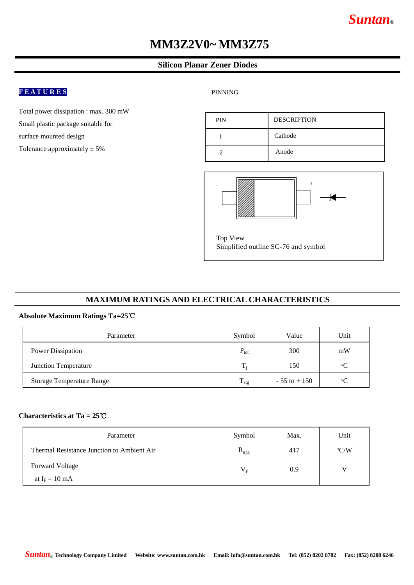# *Suntan***®**

# **MM3Z2V0~ MM3Z75**

### **Silicon Planar Zener Diodes**

# **F E A T U R E S**

PINNING

Total power dissipation : max. 300 mW Small plastic package suitable for surface mounted design Tolerance approximately  $\pm 5\%$ 

| <b>PIN</b> | <b>DESCRIPTION</b> |
|------------|--------------------|
|            | Cathode            |
|            | Anode              |



## **MAXIMUM RATINGS AND ELECTRICAL CHARACTERISTICS**

#### **Absolute Maximum Ratings Ta=25**℃

| Parameter                        | Symbol                          | Value           | Unit        |
|----------------------------------|---------------------------------|-----------------|-------------|
| <b>Power Dissipation</b>         | $P_{\text{tot}}$                | 300             | mW          |
| Junction Temperature             | $T_i$                           | 150             | $\rm ^{o}C$ |
| <b>Storage Temperature Range</b> | T.<br>$\mathbf{I}_{\text{stg}}$ | $-55$ to $+150$ | $\rm ^{o}C$ |

#### **Characteristics at Ta = 25**℃

| Parameter                                  | Symbol          | Max. | Unit          |
|--------------------------------------------|-----------------|------|---------------|
| Thermal Resistance Junction to Ambient Air | $R_{\theta JA}$ | 417  | $\rm ^{o}C/W$ |
| <b>Forward Voltage</b>                     | $V_{\rm F}$     | 0.9  | v             |
| at $I_F = 10$ mA                           |                 |      |               |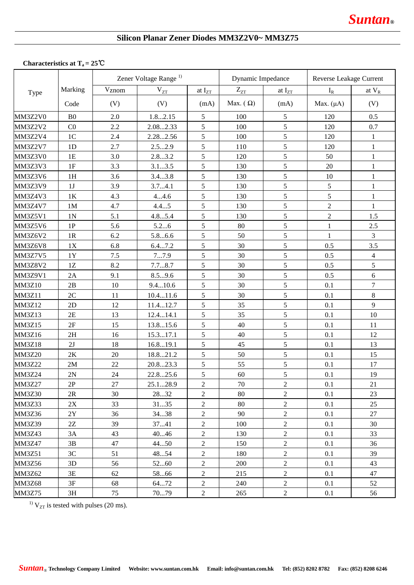## **Silicon Planar Zener Diodes MM3Z2V0~ MM3Z75**

## **Characteristics at T<sup>a</sup> = 25**℃

|               |                            |       | Zener Voltage Range <sup>1)</sup> |                        | Dynamic Impedance          |                | Reverse Leakage Current |                  |
|---------------|----------------------------|-------|-----------------------------------|------------------------|----------------------------|----------------|-------------------------|------------------|
| Type          | Marking                    | Vznom | $V_{ZT}$                          | at $I_{Z_{\perp}^{T}}$ | $Z_{\underline{\chi_{T}}}$ | at $I_{ZT}$    | $I_R$                   | at $V_R$         |
|               | Code                       | (V)   | (V)                               | (mA)                   | Max. $(\Omega)$            | (mA)           | Max. $(\mu A)$          | (V)              |
| MM3Z2V0       | B <sub>0</sub>             | 2.0   | 1.82.15                           | 5                      | 100                        | 5              | 120                     | 0.5              |
| MM3Z2V2       | CO                         | 2.2   | 2.082.33                          | 5                      | 100                        | 5              | 120                     | 0.7              |
| MM3Z2V4       | 1 <sup>C</sup>             | 2.4   | 2.282.56                          | 5                      | 100                        | 5              | 120                     | $\mathbf{1}$     |
| MM3Z2V7       | 1D                         | 2.7   | 2.52.9                            | 5                      | 110                        | 5              | 120                     | $\mathbf{1}$     |
| MM3Z3V0       | 1E                         | 3.0   | 2.83.2                            | 5                      | 120                        | 5              | 50                      | $\mathbf{1}$     |
| MM3Z3V3       | 1F                         | 3.3   | 3.13.5                            | 5                      | 130                        | 5              | 20                      | 1                |
| MM3Z3V6       | 1H                         | 3.6   | 3.43.8                            | 5                      | 130                        | 5              | 10                      | 1                |
| MM3Z3V9       | 1J                         | 3.9   | 3.74.1                            | 5                      | 130                        | 5              | 5                       | $\mathbf{1}$     |
| MM3Z4V3       | 1K                         | 4.3   | 44.6                              | 5                      | 130                        | 5              | 5                       | $\mathbf{1}$     |
| MM3Z4V7       | 1M                         | 4.7   | 4.45                              | 5                      | 130                        | 5              | $\overline{2}$          | $\mathbf{1}$     |
| MM3Z5V1       | 1 <sub>N</sub>             | 5.1   | 4.85.4                            | 5                      | 130                        | 5              | $\overline{2}$          | 1.5              |
| MM3Z5V6       | 1P                         | 5.6   | 5.26                              | 5                      | 80                         | 5              | $\mathbf 1$             | 2.5              |
| MM3Z6V2       | 1R                         | 6.2   | 5.86.6                            | 5                      | 50                         | 5              | $\mathbf{1}$            | 3                |
| MM3Z6V8       | 1X                         | 6.8   | 6.47.2                            | 5                      | 30                         | 5              | 0.5                     | 3.5              |
| MM3Z7V5       | 1Y                         | 7.5   | 77.9                              | 5                      | 30                         | 5              | 0.5                     | $\overline{4}$   |
| MM3Z8V2       | 1Z                         | 8.2   | 7.78.7                            | 5                      | 30                         | 5              | 0.5                     | $\sqrt{5}$       |
| MM3Z9V1       | 2A                         | 9.1   | 8.59.6                            | 5                      | 30                         | 5              | 0.5                     | 6                |
| <b>MM3Z10</b> | 2B                         | 10    | 9.410.6                           | 5                      | 30                         | 5              | 0.1                     | $\boldsymbol{7}$ |
| <b>MM3Z11</b> | 2C                         | 11    | 10.411.6                          | 5                      | 30                         | 5              | 0.1                     | $\,8\,$          |
| <b>MM3Z12</b> | 2D                         | 12    | 11.412.7                          | 5                      | 35                         | 5              | 0.1                     | 9                |
| <b>MM3Z13</b> | 2E                         | 13    | 12.414.1                          | 5                      | 35                         | 5              | 0.1                     | 10               |
| <b>MM3Z15</b> | $2\mathrm{F}$              | 15    | 13.815.6                          | 5                      | 40                         | 5              | 0.1                     | 11               |
| <b>MM3Z16</b> | 2H                         | 16    | 15.317.1                          | 5                      | 40                         | 5              | 0.1                     | 12               |
| <b>MM3Z18</b> | 2J                         | 18    | 16.819.1                          | 5                      | 45                         | 5              | 0.1                     | 13               |
| <b>MM3Z20</b> | 2K                         | 20    | 18.821.2                          | 5                      | 50                         | 5              | 0.1                     | 15               |
| <b>MM3Z22</b> | 2M                         | 22    | 20.823.3                          | 5                      | 55                         | 5              | 0.1                     | 17               |
| <b>MM3Z24</b> | 2N                         | 24    | 22.825.6                          | 5                      | 60                         | 5              | 0.1                     | 19               |
| <b>MM3Z27</b> | 2P                         | 27    | 25.128.9                          | 2                      | 70                         | 2              | 0.1                     | 21               |
| <b>MM3Z30</b> | 2R                         | 30    | 2832                              | $\overline{c}$         | 80                         | $\overline{c}$ | 0.1                     | 23               |
| <b>MM3Z33</b> | $2{\rm X}$                 | 33    | 3135                              | $\overline{c}$         | 80                         | $\mathbf{2}$   | 0.1                     | 25               |
| <b>MM3Z36</b> | $2\ensuremath{\mathrm{Y}}$ | 36    | 3438                              | $\mathbf{2}$           | 90                         | $\overline{c}$ | 0.1                     | 27               |
| <b>MM3Z39</b> | 2Z                         | 39    | 3741                              | 2                      | 100                        | $\overline{c}$ | 0.1                     | 30               |
| <b>MM3Z43</b> | 3A                         | 43    | 4046                              | $\boldsymbol{2}$       | 130                        | $\sqrt{2}$     | 0.1                     | 33               |
| <b>MM3Z47</b> | 3B                         | 47    | 4450                              | $\overline{c}$         | 150                        | $\overline{c}$ | 0.1                     | 36               |
| <b>MM3Z51</b> | 3C                         | 51    | 4854                              | $\overline{c}$         | 180                        | $\overline{c}$ | 0.1                     | 39               |
| <b>MM3Z56</b> | 3D                         | 56    | 5260                              | $\overline{2}$         | 200                        | $\mathbf{2}$   | 0.1                     | 43               |
| <b>MM3Z62</b> | 3E                         | 62    | 5866                              | $\mathbf{2}$           | 215                        | $\mathbf{2}$   | 0.1                     | 47               |
| <b>MM3Z68</b> | 3F                         | 68    | 6472                              | $\overline{c}$         | 240                        | $\mathbf{2}$   | 0.1                     | 52               |
| <b>MM3Z75</b> | 3H                         | 75    | 7079                              | 2                      | 265                        | 2              | 0.1                     | 56               |

<sup>1)</sup>  $V_{ZT}$  is tested with pulses (20 ms).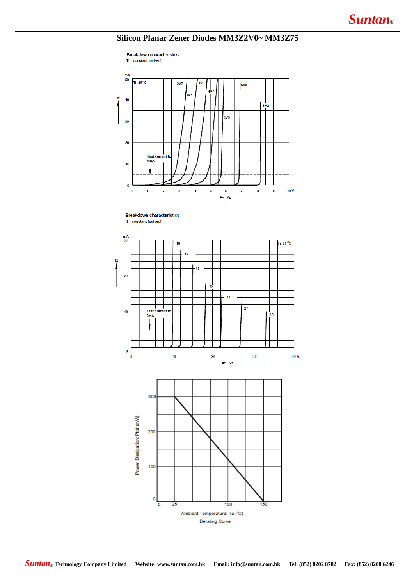## **Silicon Planar Zener Diodes MM3Z2V0~ MM3Z75**



**Breakdown characteristics**  $Tj = constant (pulsed)$